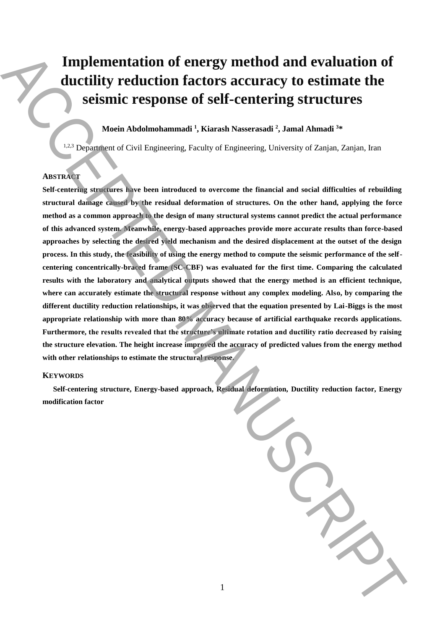# **Implementation of energy method and evaluation of ductility reduction factors accuracy to estimate the seismic response of self-centering structures**

**Moein Abdolmohammadi <sup>1</sup> , Kiarash Nasserasadi <sup>2</sup> , Jamal Ahmadi <sup>3</sup>\***

<sup>1,2,3</sup> Department of Civil Engineering, Faculty of Engineering, University of Zanjan, Zanjan, Iran

# **ABSTRACT**

**Self-centering structures have been introduced to overcome the financial and social difficulties of rebuilding structural damage caused by the residual deformation of structures. On the other hand, applying the force method as a common approach to the design of many structural systems cannot predict the actual performance of this advanced system. Meanwhile, energy-based approaches provide more accurate results than force-based approaches by selecting the desired yield mechanism and the desired displacement at the outset of the design process. In this study, the feasibility of using the energy method to compute the seismic performance of the selfcentering concentrically-braced frame (SC-CBF) was evaluated for the first time. Comparing the calculated results with the laboratory and analytical outputs showed that the energy method is an efficient technique, where can accurately estimate the structural response without any complex modeling. Also, by comparing the different ductility reduction relationships, it was observed that the equation presented by Lai-Biggs is the most appropriate relationship with more than 80% accuracy because of artificial earthquake records applications. Furthermore, the results revealed that the structure's ultimate rotation and ductility ratio decreased by raising the structure elevation. The height increase improved the accuracy of predicted values from the energy method with other relationships to estimate the structural response.** Implementation of energy method and evaluation of<br>ductility reduction factors accuracy to estimate the<br>seisunite response of self-centering structures<br>seisunite the<br>seisunite response of self-centering structures<br> $\frac{m}{2}$ 

# **KEYWORDS**

**Self-centering structure, Energy-based approach, Residual deformation, Ductility reduction factor, Energy**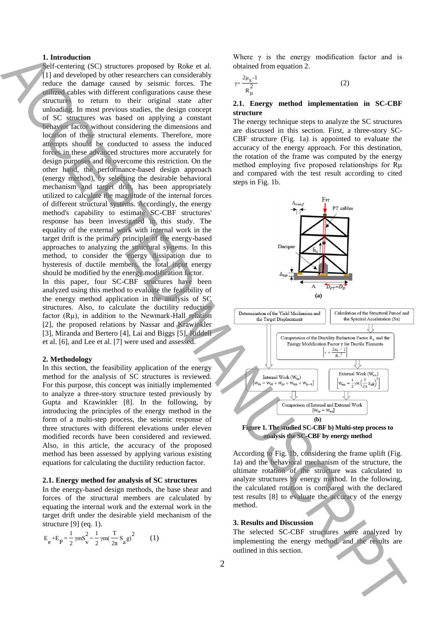## **1. Introduction**

Self-centering (SC) structures proposed by Roke et al. [1] and developed by other researchers can considerably reduce the damage caused by seismic forces. The utilized cables with different configurations cause these structures to return to their original state after unloading. In most previous studies, the design concept of SC structures was based on applying a constant behavior factor without considering the dimensions and location of these structural elements. Therefore, more attempts should be conducted to assess the induced forces in these advanced structures more accurately for design purposes and to overcome this restriction. On the other hand, the performance-based design approach (energy method), by selecting the desirable behavioral mechanism and target drift, has been appropriately utilized to calculate the magnitude of the internal forces of different structural systems. Accordingly, the energy method's capability to estimate SC-CBF structures' response has been investigated in this study. The equality of the external work with internal work in the target drift is the primary principle of the energy-based approaches to analyzing the structural systems. In this method, to consider the energy dissipation due to hysteresis of ductile members, the total input energy should be modified by the energy modification factor. In this paper, four SC-CBF structures have been analyzed using this method to evaluate the feasibility of the energy method application in the analysis of SC structures. Also, to calculate the ductility reduction factor (Rμ), in addition to the Newmark-Hall relation [2], the proposed relations by Nassar and Krawinkler [3], Miranda and Bertero [4], Lai and Biggs [5], Riddell et al. [6], and Lee et al. [7] were used and assessed. I. Introduction,  $\frac{1}{2}$  Containing the control of the second in the second in the second in the second in the second in the second in the second in the second in the second in the second in the second in the second in

## **2. Methodology**

In this section, the feasibility application of the energy method for the analysis of SC structures is reviewed. For this purpose, this concept was initially implemented to analyze a three-story structure tested previously by Gupta and Krawinkler [8]. In the following, by introducing the principles of the energy method in the form of a multi-step process, the seismic response of three structures with different elevations under eleven modified records have been considered and reviewed. Also, in this article, the accuracy of the proposed method has been assessed by applying various existing equations for calculating the ductility reduction factor.

## **2.1. Energy method for analysis of SC structures**

In the energy-based design methods, the base shear and forces of the structural members are calculated by equating the internal work and the external work in the target drift under the desirable yield mechanism of the structure [9] (eq. 1).

$$
E_e + E_p = \frac{1}{2} \gamma m S_v^2 = \frac{1}{2} \gamma m (\frac{T}{2\pi} S_a g)^2
$$
 (1)

Where  $\gamma$  is the energy modification factor and is obtained from equation 2.

$$
\gamma = \frac{2\mu_s - 1}{R_\mu^2} \tag{2}
$$

## **2.1. Energy method implementation in SC-CBF structure**

The energy technique steps to analyze the SC structures are discussed in this section. First, a three-story SC-CBF structure (Fig. 1a) is appointed to evaluate the accuracy of the energy approach. For this destination, the rotation of the frame was computed by the energy method employing five proposed relationships for Rμ and compared with the test result according to cited steps in Fig. 1b.





According to Fig. 1b, considering the frame uplift (Fig. 1a) and the behavioral mechanism of the structure, the ultimate rotation of the structure was calculated to analyze structures by energy method. In the following, the calculated rotation is compared with the declared test results [8] to evaluate the accuracy of the energy method.

#### **3. Results and Discussion**

The selected SC-CBF structures were analyzed by implementing the energy method, and the results are